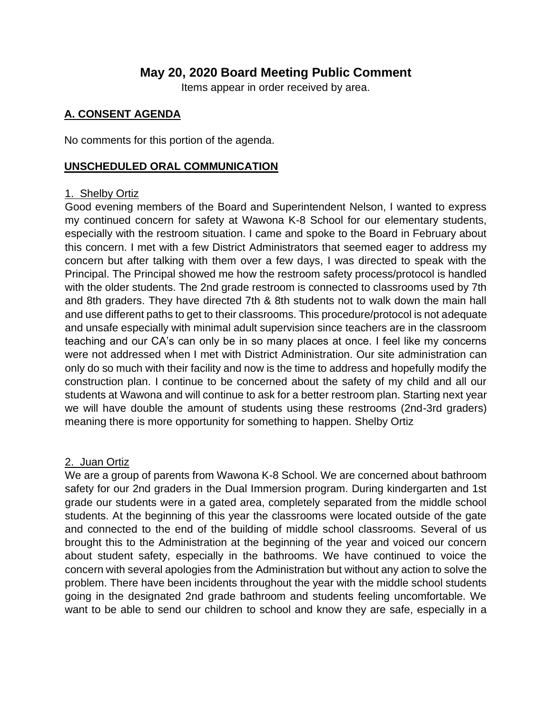# **May 20, 2020 Board Meeting Public Comment**

Items appear in order received by area.

### **A. CONSENT AGENDA**

No comments for this portion of the agenda.

#### **UNSCHEDULED ORAL COMMUNICATION**

#### 1. Shelby Ortiz

Good evening members of the Board and Superintendent Nelson, I wanted to express my continued concern for safety at Wawona K-8 School for our elementary students, especially with the restroom situation. I came and spoke to the Board in February about this concern. I met with a few District Administrators that seemed eager to address my concern but after talking with them over a few days, I was directed to speak with the Principal. The Principal showed me how the restroom safety process/protocol is handled with the older students. The 2nd grade restroom is connected to classrooms used by 7th and 8th graders. They have directed 7th & 8th students not to walk down the main hall and use different paths to get to their classrooms. This procedure/protocol is not adequate and unsafe especially with minimal adult supervision since teachers are in the classroom teaching and our CA's can only be in so many places at once. I feel like my concerns were not addressed when I met with District Administration. Our site administration can only do so much with their facility and now is the time to address and hopefully modify the construction plan. I continue to be concerned about the safety of my child and all our students at Wawona and will continue to ask for a better restroom plan. Starting next year we will have double the amount of students using these restrooms (2nd-3rd graders) meaning there is more opportunity for something to happen. Shelby Ortiz

### 2. Juan Ortiz

We are a group of parents from Wawona K-8 School. We are concerned about bathroom safety for our 2nd graders in the Dual Immersion program. During kindergarten and 1st grade our students were in a gated area, completely separated from the middle school students. At the beginning of this year the classrooms were located outside of the gate and connected to the end of the building of middle school classrooms. Several of us brought this to the Administration at the beginning of the year and voiced our concern about student safety, especially in the bathrooms. We have continued to voice the concern with several apologies from the Administration but without any action to solve the problem. There have been incidents throughout the year with the middle school students going in the designated 2nd grade bathroom and students feeling uncomfortable. We want to be able to send our children to school and know they are safe, especially in a